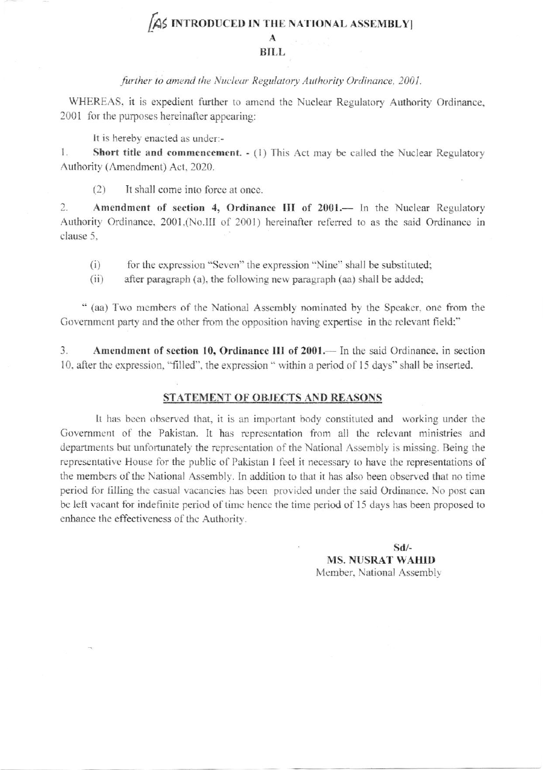# AS INTRODUCED IN THE NATIONAL ASSEMBLY A

### **BILL**

#### further to amend the Nuclear Regulatory Authority Ordinance, 2001.

WHEREAS, it is expedient further to amend the Nuclear Regulatory Authority Ordinance, 2001 for the purposes hereinafter appearing:

It is hereby enacted as under:-

1. Short title and commencement. - (1) This Act may be called the Nuclear Regulatory Authority (Amendment) Act, 2020.

 $(2)$ It shall come into force at once.

 $\overline{c}$ . Amendment of section 4, Ordinance III of 2001.— In the Nuclear Regulatory Authority Ordinance, 2001,(No.III of 2001) hereinafter referred to as the said Ordinance in clause 5.

 $(i)$ for the expression "Seven" the expression "Nine" shall be substituted;

 $(ii)$ after paragraph (a), the following new paragraph (aa) shall be added;

" (aa) Two members of the National Assembly nominated by the Speaker, one from the Government party and the other from the opposition having expertise in the relevant field;"

3. Amendment of section 10, Ordinance III of 2001.— In the said Ordinance, in section 10, after the expression, "filled", the expression " within a period of 15 days" shall be inserted.

#### STATEMENT OF OBJECTS AND REASONS

It has been observed that, it is an important body constituted and working under the Government of the Pakistan. It has representation from all the relevant ministries and departments but unfortunately the representation of the National Assembly is missing. Being the representative House for the public of Pakistan I feel it necessary to have the representations of the members of the National Assembly. In addition to that it has also been observed that no time period for filling the casual vacancies has been provided under the said Ordinance. No post can be left vacant for indefinite period of time hence the time period of 15 days has been proposed to enhance the effectiveness of the Authority.

> $Sd$ /-**MS. NUSRAT WAHID** Member, National Assembly